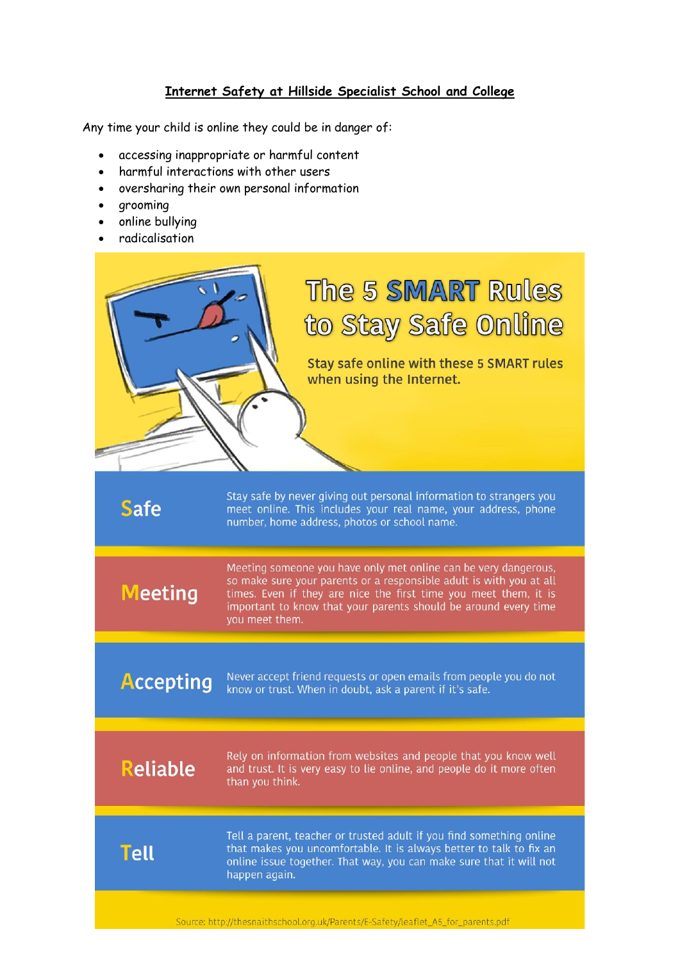## **Internet Safety at Hillside Specialist School and College**

Any time your child is online they could be in danger of:

- accessing inappropriate or harmful content
- harmful interactions with other users
- oversharing their own personal information
- grooming
- online bullying
- radicalisation

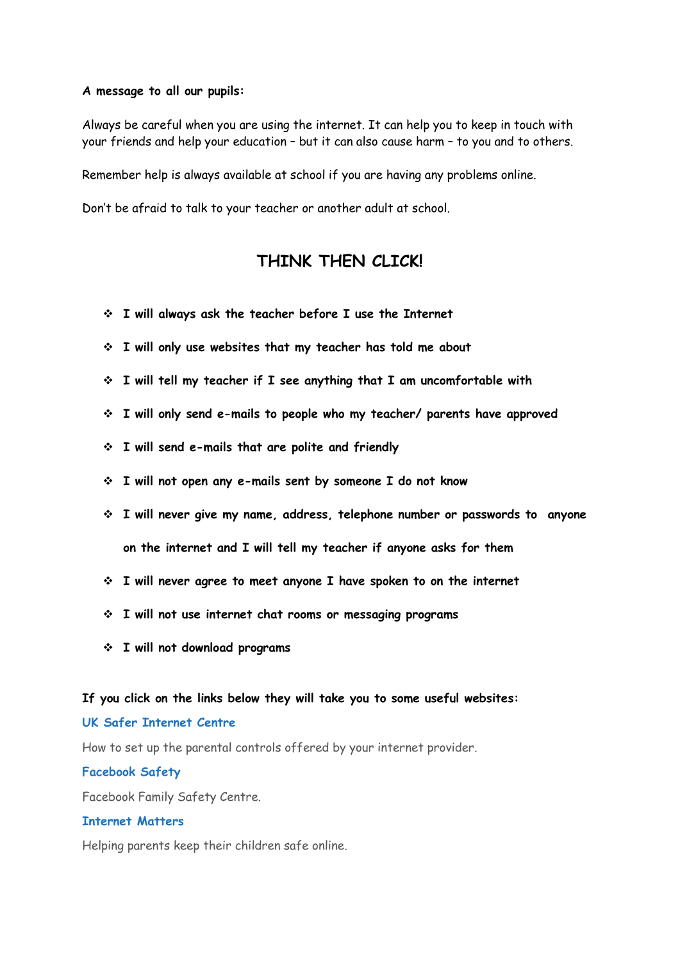#### **A message to all our pupils:**

Always be careful when you are using the internet. It can help you to keep in touch with your friends and help your education – but it can also cause harm – to you and to others.

Remember help is always available at school if you are having any problems online.

Don't be afraid to talk to your teacher or another adult at school.

# **THINK THEN CLICK!**

- ❖ **I will always ask the teacher before I use the Internet**
- ❖ **I will only use websites that my teacher has told me about**
- ❖ **I will tell my teacher if I see anything that I am uncomfortable with**
- ❖ **I will only send e-mails to people who my teacher/ parents have approved**
- ❖ **I will send e-mails that are polite and friendly**
- ❖ **I will not open any e-mails sent by someone I do not know**
- ❖ **I will never give my name, address, telephone number or passwords to anyone on the internet and I will tell my teacher if anyone asks for them**
- ❖ **I will never agree to meet anyone I have spoken to on the internet**
- ❖ **I will not use internet chat rooms or messaging programs**
- ❖ **I will not download programs**

#### **If you click on the links below they will take you to some useful websites:**

### **UK Safer [Internet](https://www.saferinternet.org.uk/advice-centre/parents-and-carers) Centre**

How to set up the parental controls offered by your internet provider.

#### **[Facebook](https://www.facebook.com/safety) Safety**

Facebook Family Safety Centre.

## **[Internet](https://www.internetmatters.org/) Matters**

Helping parents keep their children safe online.